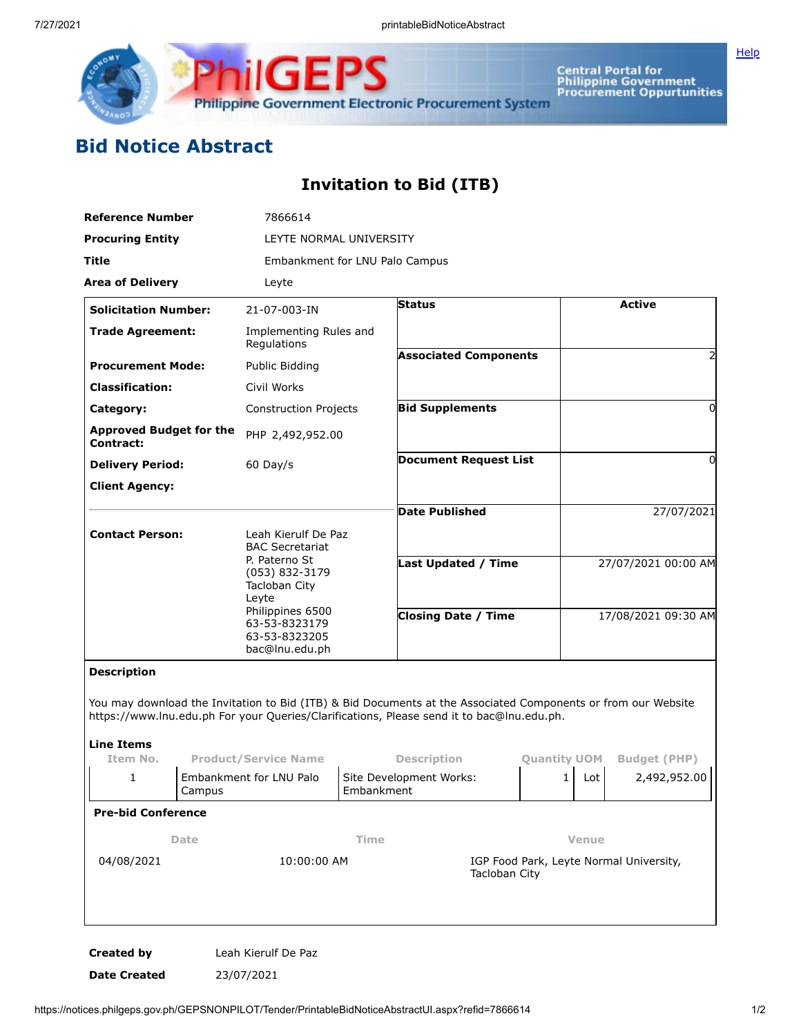

Central Portal for<br>Philippine Government<br>Procurement Oppurtunities Philippine Government Electronic Procurement System

## **Bid Notice Abstract**

## **Invitation to Bid (ITB)**

**ilGEPS** 

| <b>Reference Number</b>                     |        | 7866614                                                                                                                                                                            |            |                                                                                                                                                                                                            |                     |                     |                     |  |
|---------------------------------------------|--------|------------------------------------------------------------------------------------------------------------------------------------------------------------------------------------|------------|------------------------------------------------------------------------------------------------------------------------------------------------------------------------------------------------------------|---------------------|---------------------|---------------------|--|
| <b>Procuring Entity</b>                     |        | LEYTE NORMAL UNIVERSITY                                                                                                                                                            |            |                                                                                                                                                                                                            |                     |                     |                     |  |
| Title                                       |        | Embankment for LNU Palo Campus                                                                                                                                                     |            |                                                                                                                                                                                                            |                     |                     |                     |  |
| <b>Area of Delivery</b>                     |        | Leyte                                                                                                                                                                              |            |                                                                                                                                                                                                            |                     |                     |                     |  |
| <b>Solicitation Number:</b>                 |        | 21-07-003-IN                                                                                                                                                                       |            | <b>Status</b>                                                                                                                                                                                              |                     | <b>Active</b>       |                     |  |
| <b>Trade Agreement:</b>                     |        | Implementing Rules and<br>Regulations                                                                                                                                              |            |                                                                                                                                                                                                            |                     |                     |                     |  |
| <b>Procurement Mode:</b>                    |        | Public Bidding                                                                                                                                                                     |            | <b>Associated Components</b>                                                                                                                                                                               |                     |                     |                     |  |
| <b>Classification:</b>                      |        | Civil Works                                                                                                                                                                        |            |                                                                                                                                                                                                            |                     |                     |                     |  |
| Category:                                   |        | <b>Construction Projects</b>                                                                                                                                                       |            | <b>Bid Supplements</b>                                                                                                                                                                                     |                     |                     | $\Omega$            |  |
| <b>Approved Budget for the</b><br>Contract: |        | PHP 2,492,952.00                                                                                                                                                                   |            |                                                                                                                                                                                                            |                     |                     |                     |  |
| <b>Delivery Period:</b>                     |        | $60$ Day/s                                                                                                                                                                         |            | <b>Document Request List</b>                                                                                                                                                                               |                     |                     | $\Omega$            |  |
| <b>Client Agency:</b>                       |        |                                                                                                                                                                                    |            |                                                                                                                                                                                                            |                     |                     |                     |  |
|                                             |        |                                                                                                                                                                                    |            | <b>Date Published</b>                                                                                                                                                                                      |                     |                     | 27/07/2021          |  |
| <b>Contact Person:</b>                      |        | Leah Kierulf De Paz<br><b>BAC Secretariat</b><br>P. Paterno St<br>(053) 832-3179<br>Tacloban City<br>Leyte<br>Philippines 6500<br>63-53-8323179<br>63-53-8323205<br>bac@lnu.edu.ph |            |                                                                                                                                                                                                            |                     |                     |                     |  |
|                                             |        |                                                                                                                                                                                    |            | Last Updated / Time                                                                                                                                                                                        |                     | 27/07/2021 00:00 AM |                     |  |
|                                             |        |                                                                                                                                                                                    |            | <b>Closing Date / Time</b>                                                                                                                                                                                 |                     | 17/08/2021 09:30 AM |                     |  |
| <b>Description</b>                          |        |                                                                                                                                                                                    |            |                                                                                                                                                                                                            |                     |                     |                     |  |
| Line Items                                  |        |                                                                                                                                                                                    |            | You may download the Invitation to Bid (ITB) & Bid Documents at the Associated Components or from our Website<br>https://www.lnu.edu.ph For your Queries/Clarifications, Please send it to bac@lnu.edu.ph. |                     |                     |                     |  |
| Item No.                                    |        | <b>Product/Service Name</b>                                                                                                                                                        |            | <b>Description</b>                                                                                                                                                                                         | <b>Quantity UOM</b> |                     | <b>Budget (PHP)</b> |  |
| 1                                           | Campus | Embankment for LNU Palo                                                                                                                                                            | Embankment | Site Development Works:                                                                                                                                                                                    | 1                   | Lot                 | 2,492,952.00        |  |
| <b>Pre-bid Conference</b>                   |        |                                                                                                                                                                                    |            |                                                                                                                                                                                                            |                     |                     |                     |  |
| Date                                        |        |                                                                                                                                                                                    | Time       |                                                                                                                                                                                                            |                     | Venue               |                     |  |
| 04/08/2021                                  |        | 10:00:00 AM                                                                                                                                                                        |            | IGP Food Park, Leyte Normal University,<br>Tacloban City                                                                                                                                                   |                     |                     |                     |  |
|                                             |        |                                                                                                                                                                                    |            |                                                                                                                                                                                                            |                     |                     |                     |  |